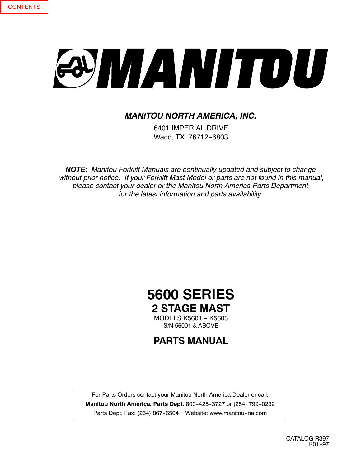# SYMANITOU

## *MANITOU NORTH AMERICA, INC.*

6401 IMPERIAL DRIVE Waco, TX 76712-6803

*NOTE: Manitou Forklift Manuals are continually updated and subject to change without prior notice. If your Forklift Mast Model or parts are not found in this manual, please contact your dealer or the Manitou North America Parts Department for the latest information and parts availability.*

# **5600 SERIES 2 STAGE MAST**

MODELS K5601 - K5603 S/N 56001 & ABOVE

**PARTS MANUAL**

For Parts Orders contact your Manitou North America Dealer or call: **Manitou North America, Parts Dept.** 800-425-3727 or (254) 799-0232 Parts Dept. Fax: (254) 867-6504 Website: www.manitou-na.com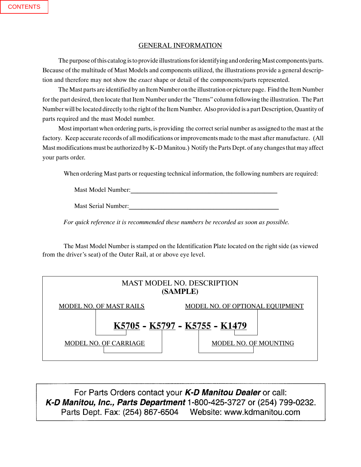### GENERAL INFORMATION

The purpose of this catalog is to provide illustrations for identifying and ordering Mast components/parts. Because of the multitude of Mast Models and components utilized, the illustrations provide a general description and therefore may not show the *exact* shape or detail of the components/parts represented.

The Mast parts are identified by an Item Number on the illustration or picture page. Find the Item Number for the part desired, then locate that Item Number under the "Items" column following the illustration. The Part Number will be located directly tothe right of the Item Number. Also provided is a part Description, Quantity of parts required and the mast Model number.

Most important when ordering parts, is providing the correct serial number as assigned to the mast at the factory. Keep accurate records of all modifications or improvements made to the mast after manufacture. (All Mast modifications must be authorized by K-D Manitou.) Notify the Parts Dept. of any changes that may affect your parts order.

When ordering Mast parts or requesting technical information, the following numbers are required:

Mast Model Number:

Mast Serial Number:

*For quick reference it is recommended these numbers be recorded as soon as possible.*

The Mast Model Number is stamped on the Identification Plate located on the right side (as viewed from the driver's seat) of the Outer Rail, at or above eye level.



For Parts Orders contact your *K-D Manitou Dealer* or call: *K- D Manitou, Parts Division*, Waco, Texas.  $\sim$ -000 $+$   $\sim$   $\sim$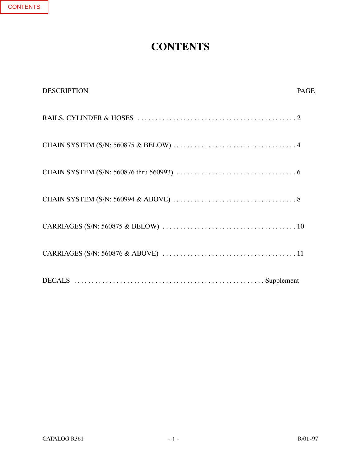# **CONTENTS**

| <b>DESCRIPTION</b> | <b>PAGE</b> |
|--------------------|-------------|
|                    |             |
|                    |             |
|                    |             |
|                    |             |
|                    |             |
|                    |             |
|                    |             |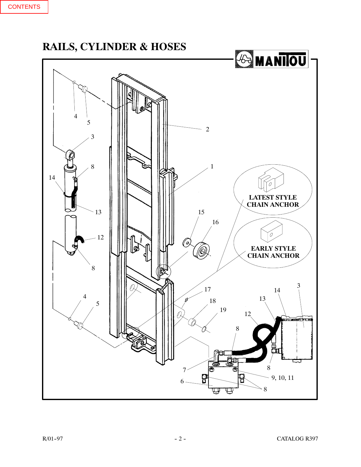<span id="page-3-0"></span>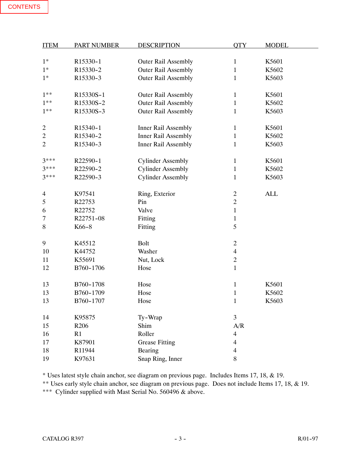| <b>ITEM</b>    | <b>PART NUMBER</b> | <b>DESCRIPTION</b>         | <b>QTY</b>     | <b>MODEL</b> |
|----------------|--------------------|----------------------------|----------------|--------------|
|                |                    |                            |                |              |
| $1*$           | R15330-1           | <b>Outer Rail Assembly</b> | $\mathbf{1}$   | K5601        |
| $1*$           | R15330-2           | <b>Outer Rail Assembly</b> | $\mathbf{1}$   | K5602        |
| $1*$           | R15330-3           | <b>Outer Rail Assembly</b> | $\mathbf{1}$   | K5603        |
|                |                    |                            |                |              |
| $1**$          | R15330S-1          | <b>Outer Rail Assembly</b> | 1              | K5601        |
| $1**$          | R15330S-2          | <b>Outer Rail Assembly</b> | $\mathbf{1}$   | K5602        |
| $1**$          | R15330S-3          | <b>Outer Rail Assembly</b> | $\mathbf{1}$   | K5603        |
|                |                    |                            |                |              |
| 2              | R15340-1           | Inner Rail Assembly        | $\mathbf{1}$   | K5601        |
| $\overline{c}$ | R15340-2           | Inner Rail Assembly        | $\mathbf{1}$   | K5602        |
| $\overline{2}$ | R15340-3           | <b>Inner Rail Assembly</b> | $\mathbf{1}$   | K5603        |
|                |                    |                            |                |              |
| $3***$         | R22590-1           | <b>Cylinder Assembly</b>   | $\mathbf{1}$   | K5601        |
| $3***$         | R22590-2           | <b>Cylinder Assembly</b>   | $\mathbf{1}$   | K5602        |
| $3***$         | R22590-3           | <b>Cylinder Assembly</b>   | $\mathbf{1}$   | K5603        |
|                |                    |                            |                |              |
| 4              | K97541             | Ring, Exterior             | $\overline{c}$ | <b>ALL</b>   |
| 5              | R22753             | Pin                        | $\overline{2}$ |              |
| 6              | R22752             | Valve                      | $\mathbf{1}$   |              |
| 7              | R22751-08          | Fitting                    | $\mathbf{1}$   |              |
| 8              | K66-8              | Fitting                    | 5              |              |
|                |                    |                            |                |              |
| 9              | K45512             | <b>Bolt</b>                | $\overline{2}$ |              |
| 10             | K44752             | Washer                     | $\overline{4}$ |              |
| 11             | K55691             | Nut, Lock                  | $\mathbf{2}$   |              |
| 12             | B760-1706          | Hose                       | $\mathbf{1}$   |              |
|                |                    |                            |                |              |
| 13             | B760-1708          | Hose                       | $\mathbf{1}$   | K5601        |
| 13             | B760-1709          | Hose                       | $\mathbf{1}$   | K5602        |
| 13             | B760-1707          | Hose                       | $\mathbf{1}$   | K5603        |
|                |                    |                            |                |              |
| 14             | K95875             | Ty-Wrap                    | 3              |              |
| 15             | R206               | Shim                       | A/R            |              |
| 16             | R1                 | Roller                     | $\overline{4}$ |              |
| 17             | K87901             | <b>Grease Fitting</b>      | $\overline{4}$ |              |
| 18             | R11944             | Bearing                    | 4              |              |
| 19             | K97631             | Snap Ring, Inner           | 8              |              |

\* Uses latest style chain anchor, see diagram on previous page. Includes Items 17, 18, & 19.

\*\* Uses early style chain anchor, see diagram on previous page. Does not include Items 17, 18, & 19.

\*\*\* Cylinder supplied with Mast Serial No. 560496 & above.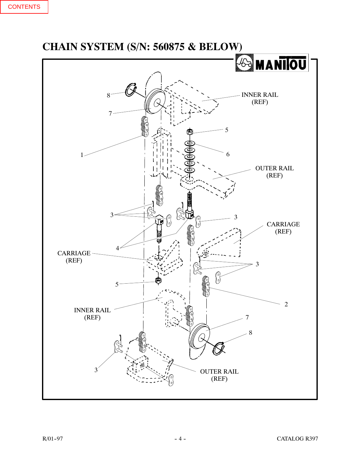<span id="page-5-0"></span>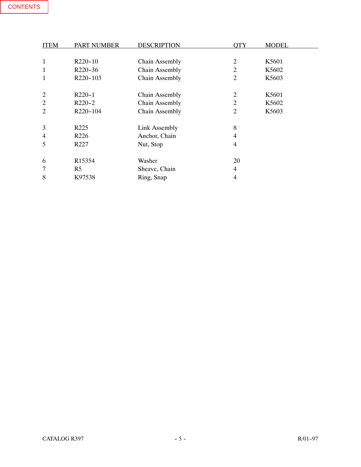| <b>ITEM</b>    | <b>PART NUMBER</b>   | <b>DESCRIPTION</b>    | <b>OTY</b>     | <b>MODEL</b> |
|----------------|----------------------|-----------------------|----------------|--------------|
|                |                      |                       |                |              |
| 1              | R <sub>220</sub> -10 | <b>Chain Assembly</b> | 2              | K5601        |
| 1              | R220-36              | Chain Assembly        | 2              | K5602        |
|                | R220-103             | Chain Assembly        | 2              | K5603        |
|                |                      |                       |                |              |
| $\overline{2}$ | $R220-1$             | Chain Assembly        | $\overline{2}$ | K5601        |
| $\overline{2}$ | $R220-2$             | Chain Assembly        | 2              | K5602        |
| $\overline{2}$ | R220-104             | Chain Assembly        | 2              | K5603        |
|                |                      |                       |                |              |
| 3              | R <sub>225</sub>     | <b>Link Assembly</b>  | 8              |              |
| 4              | R <sub>226</sub>     | Anchor, Chain         | 4              |              |
| 5              | R <sub>227</sub>     | Nut, Stop             | 4              |              |
|                |                      |                       |                |              |
| 6              | R <sub>15354</sub>   | Washer                | 20             |              |
| 7              | R <sub>5</sub>       | Sheave, Chain         | 4              |              |
| 8              | K97538               | Ring, Snap            | $\overline{4}$ |              |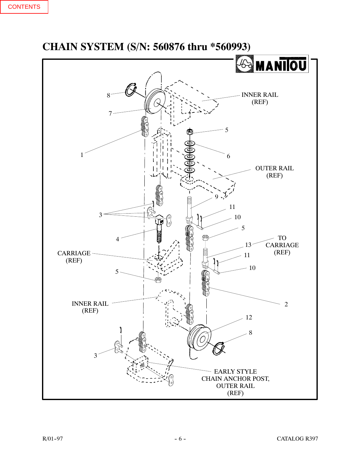<span id="page-7-0"></span>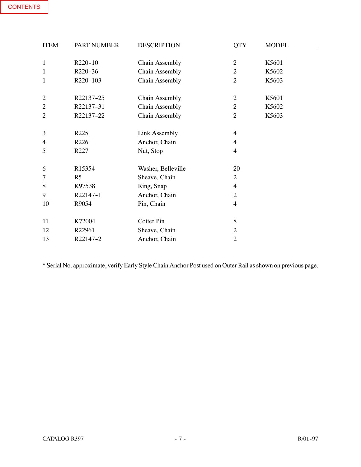| <b>ITEM</b>    | <b>PART NUMBER</b> | <b>DESCRIPTION</b>    | <b>OTY</b>     | <b>MODEL</b> |
|----------------|--------------------|-----------------------|----------------|--------------|
|                |                    |                       |                |              |
| $\mathbf{1}$   | R220-10            | Chain Assembly        | $\overline{2}$ | K5601        |
| $\mathbf 1$    | R220-36            | Chain Assembly        | $\overline{2}$ | K5602        |
| 1              | R220-103           | <b>Chain Assembly</b> | $\overline{2}$ | K5603        |
|                |                    |                       |                |              |
| 2              | R22137-25          | <b>Chain Assembly</b> | 2              | K5601        |
| $\overline{2}$ | R22137-31          | <b>Chain Assembly</b> | 2              | K5602        |
| $\overline{2}$ | R22137-22          | <b>Chain Assembly</b> | $\overline{2}$ | K5603        |
|                |                    |                       |                |              |
| 3              | R225               | <b>Link Assembly</b>  | $\overline{4}$ |              |
| 4              | R226               | Anchor, Chain         | 4              |              |
| 5              | R227               | Nut, Stop             | 4              |              |
|                |                    |                       |                |              |
| 6              | R15354             | Washer, Belleville    | 20             |              |
| 7              | R <sub>5</sub>     | Sheave, Chain         | $\overline{2}$ |              |
| 8              | K97538             | Ring, Snap            | 4              |              |
| 9              | R22147-1           | Anchor, Chain         | $\overline{2}$ |              |
| 10             | R9054              | Pin, Chain            | 4              |              |
|                |                    |                       |                |              |
| 11             | K72004             | Cotter Pin            | 8              |              |
| 12             | R22961             | Sheave, Chain         | $\overline{2}$ |              |
| 13             | R22147-2           | Anchor, Chain         | $\overline{2}$ |              |

\* Serial No. approximate, verify Early Style Chain Anchor Post used on Outer Rail as shown on previous page.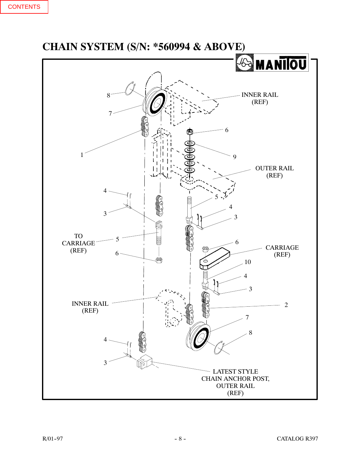<span id="page-9-0"></span>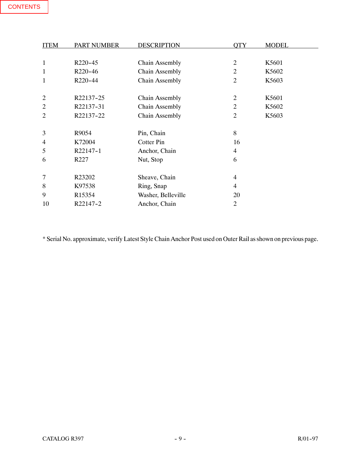| <b>ITEM</b>    | <b>PART NUMBER</b> | <b>DESCRIPTION</b>    | <b>OTY</b>     | <b>MODEL</b> |
|----------------|--------------------|-----------------------|----------------|--------------|
|                |                    |                       |                |              |
| $\mathbf{1}$   | R220-45            | <b>Chain Assembly</b> | $\overline{2}$ | K5601        |
| 1              | R220-46            | Chain Assembly        | $\overline{2}$ | K5602        |
| 1              | R220-44            | Chain Assembly        | $\overline{2}$ | K5603        |
|                |                    |                       |                |              |
| $\overline{2}$ | R22137-25          | <b>Chain Assembly</b> | $\overline{2}$ | K5601        |
| $\overline{2}$ | R22137-31          | <b>Chain Assembly</b> | 2              | K5602        |
| $\overline{c}$ | R22137-22          | Chain Assembly        | $\overline{2}$ | K5603        |
|                |                    |                       |                |              |
| 3              | R9054              | Pin, Chain            | 8              |              |
| 4              | K72004             | Cotter Pin            | 16             |              |
| 5              | R22147-1           | Anchor, Chain         | $\overline{4}$ |              |
| 6              | R227               | Nut, Stop             | 6              |              |
|                |                    |                       |                |              |
| 7              | R23202             | Sheave, Chain         | 4              |              |
| 8              | K97538             | Ring, Snap            | 4              |              |
| 9              | R <sub>15354</sub> | Washer, Belleville    | 20             |              |
| 10             | R22147-2           | Anchor, Chain         | $\overline{2}$ |              |

\* Serial No. approximate, verify Latest Style Chain Anchor Post used on Outer Rail as shown on previous page.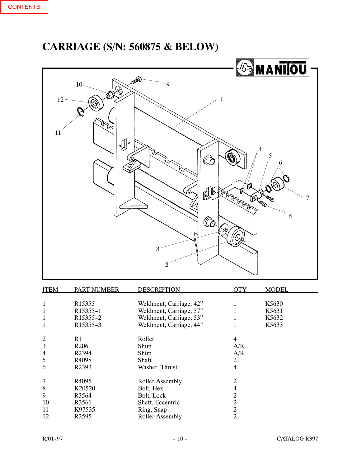<span id="page-11-0"></span>**CARRIAGE (S/N: 560875 & BELOW)**



| <b>ITEM</b>    | <b>PART NUMBER</b>    | <b>DESCRIPTION</b>      | OTY            | <b>MODEL</b> |
|----------------|-----------------------|-------------------------|----------------|--------------|
|                | R <sub>15355</sub>    | Weldment, Carriage, 42" |                | K5630        |
|                | R15355-1              | Weldment, Carriage, 57" |                | K5631        |
| 1              | R <sub>15355</sub> -2 | Weldment, Carriage, 53" |                | K5632        |
|                | R15355-3              | Weldment, Carriage, 44" |                | K5633        |
| 2              | R1                    | Roller                  | 4              |              |
| 3              | R <sub>206</sub>      | Shim                    | A/R            |              |
| $\overline{4}$ | R <sub>2394</sub>     | Shim                    | A/R            |              |
| 5              | R4098                 | Shaft                   | 2              |              |
| 6              | R <sub>2393</sub>     | Washer, Thrust          | 4              |              |
| 7              | R4095                 | <b>Roller Assembly</b>  | 2              |              |
| 8              | K20520                | Bolt, Hex               | 4              |              |
| 9              | R3564                 | Bolt, Lock              | $\overline{2}$ |              |
| 10             | R3561                 | Shaft, Eccentric        | $\overline{2}$ |              |
| 11             | K97535                | Ring, Snap              | $\overline{2}$ |              |
| 12             | R3595                 | <b>Roller Assembly</b>  | $\overline{2}$ |              |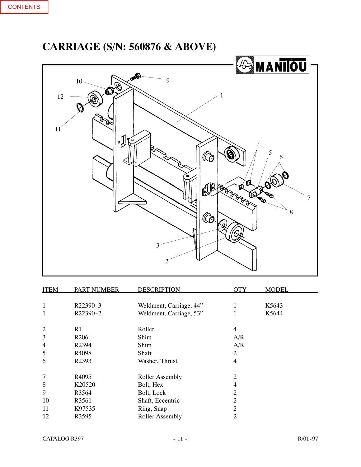# <span id="page-12-0"></span>**CARRIAGE (S/N: 560876 & ABOVE)**



| <b>ITEM</b>    | <b>PART NUMBER</b> | <b>DESCRIPTION</b>      | <b>QTY</b>     | <b>MODEL</b> |
|----------------|--------------------|-------------------------|----------------|--------------|
| 1              | R22390-3           | Weldment, Carriage, 44" | 1              | K5643        |
| 1              | R22390-2           | Weldment, Carriage, 53" | 1              | K5644        |
| $\overline{2}$ | R <sub>1</sub>     | Roller                  | 4              |              |
| 3              | R <sub>206</sub>   | Shim                    | A/R            |              |
| 4              | R <sub>2394</sub>  | Shim                    | A/R            |              |
| 5              | R4098              | Shaft                   | $\overline{2}$ |              |
| 6              | R2393              | Washer, Thrust          | 4              |              |
| 7              | R4095              | <b>Roller Assembly</b>  | $\overline{2}$ |              |
| 8              | K20520             | Bolt, Hex               | 4              |              |
| 9              | R3564              | Bolt, Lock              | $\overline{2}$ |              |
| 10             | R3561              | Shaft, Eccentric        | $\overline{2}$ |              |
| 11             | K97535             | Ring, Snap              | 2              |              |
| 12             | R3595              | <b>Roller Assembly</b>  | $\overline{c}$ |              |